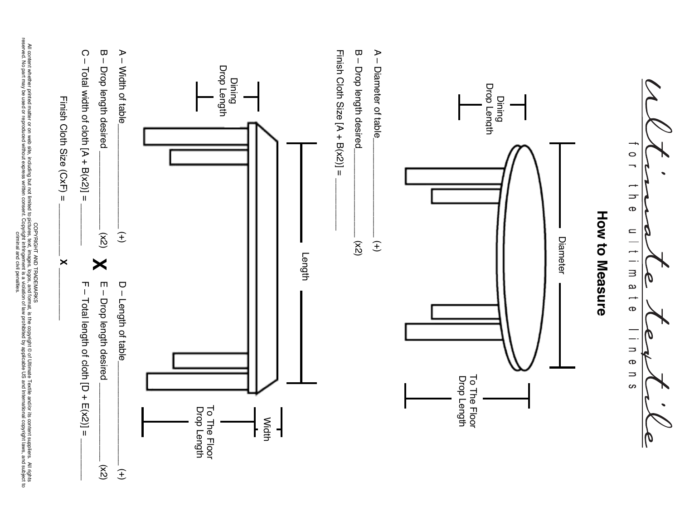

rights reserved. No part may be used or reproduced without express written consent. Copyright infringement is a violation of law prohibited by applicable US and International copyright laws, and subject criminal and civil penalties.

ಕ